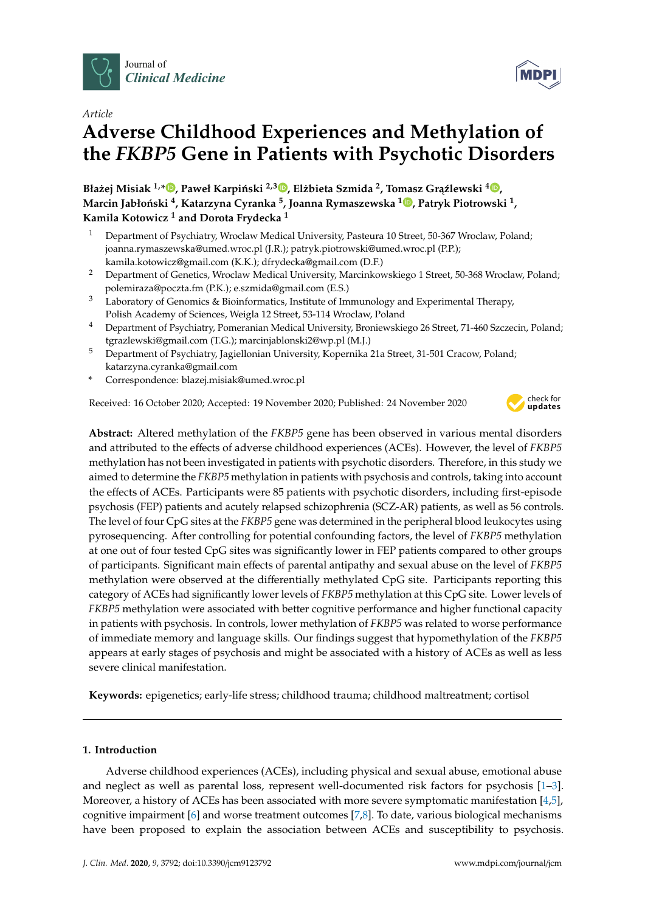

*Article*

# **Adverse Childhood Experiences and Methylation of the** *FKBP5* **Gene in Patients with Psychotic Disorders**

**Błażej Misiak <sup>1[,](https://orcid.org/0000-0003-3885-694X)</sup>\*©, Paweł Karpiński <sup>2,3</sup>©, Elżbieta Szmida <sup>2</sup>, Tomasz Grąźlewski <sup>[4](https://orcid.org/0000-0002-1026-702X)</sup>©,**  $\mathbf{M}$ arcin Jabłoński  $^4$ [,](https://orcid.org/0000-0001-8985-3592) Katarzyna Cyranka  $^5$ , Joanna Rymaszewska  $^1\mathbf{O}$ , Patryk Piotrowski  $^1$ , **Kamila Kotowicz <sup>1</sup> and Dorota Frydecka <sup>1</sup>**

- <sup>1</sup> Department of Psychiatry, Wroclaw Medical University, Pasteura 10 Street, 50-367 Wroclaw, Poland; joanna.rymaszewska@umed.wroc.pl (J.R.); patryk.piotrowski@umed.wroc.pl (P.P.); kamila.kotowicz@gmail.com (K.K.); dfrydecka@gmail.com (D.F.)
- <sup>2</sup> Department of Genetics, Wroclaw Medical University, Marcinkowskiego 1 Street, 50-368 Wroclaw, Poland; polemiraza@poczta.fm (P.K.); e.szmida@gmail.com (E.S.)
- <sup>3</sup> Laboratory of Genomics & Bioinformatics, Institute of Immunology and Experimental Therapy, Polish Academy of Sciences, Weigla 12 Street, 53-114 Wroclaw, Poland
- <sup>4</sup> Department of Psychiatry, Pomeranian Medical University, Broniewskiego 26 Street, 71-460 Szczecin, Poland; tgrazlewski@gmail.com (T.G.); marcinjablonski2@wp.pl (M.J.)
- <sup>5</sup> Department of Psychiatry, Jagiellonian University, Kopernika 21a Street, 31-501 Cracow, Poland; katarzyna.cyranka@gmail.com
- **\*** Correspondence: blazej.misiak@umed.wroc.pl

Received: 16 October 2020; Accepted: 19 November 2020; Published: 24 November 2020



**MDPI** 

**Abstract:** Altered methylation of the *FKBP5* gene has been observed in various mental disorders and attributed to the effects of adverse childhood experiences (ACEs). However, the level of *FKBP5* methylation has not been investigated in patients with psychotic disorders. Therefore, in this study we aimed to determine the *FKBP5* methylation in patients with psychosis and controls, taking into account the effects of ACEs. Participants were 85 patients with psychotic disorders, including first-episode psychosis (FEP) patients and acutely relapsed schizophrenia (SCZ-AR) patients, as well as 56 controls. The level of four CpG sites at the *FKBP5* gene was determined in the peripheral blood leukocytes using pyrosequencing. After controlling for potential confounding factors, the level of *FKBP5* methylation at one out of four tested CpG sites was significantly lower in FEP patients compared to other groups of participants. Significant main effects of parental antipathy and sexual abuse on the level of *FKBP5* methylation were observed at the differentially methylated CpG site. Participants reporting this category of ACEs had significantly lower levels of *FKBP5* methylation at this CpG site. Lower levels of *FKBP5* methylation were associated with better cognitive performance and higher functional capacity in patients with psychosis. In controls, lower methylation of *FKBP5* was related to worse performance of immediate memory and language skills. Our findings suggest that hypomethylation of the *FKBP5* appears at early stages of psychosis and might be associated with a history of ACEs as well as less severe clinical manifestation.

**Keywords:** epigenetics; early-life stress; childhood trauma; childhood maltreatment; cortisol

# **1. Introduction**

Adverse childhood experiences (ACEs), including physical and sexual abuse, emotional abuse and neglect as well as parental loss, represent well-documented risk factors for psychosis [\[1](#page-11-0)[–3\]](#page-11-1). Moreover, a history of ACEs has been associated with more severe symptomatic manifestation [\[4,](#page-11-2)[5\]](#page-11-3), cognitive impairment [\[6\]](#page-11-4) and worse treatment outcomes [\[7,](#page-11-5)[8\]](#page-11-6). To date, various biological mechanisms have been proposed to explain the association between ACEs and susceptibility to psychosis.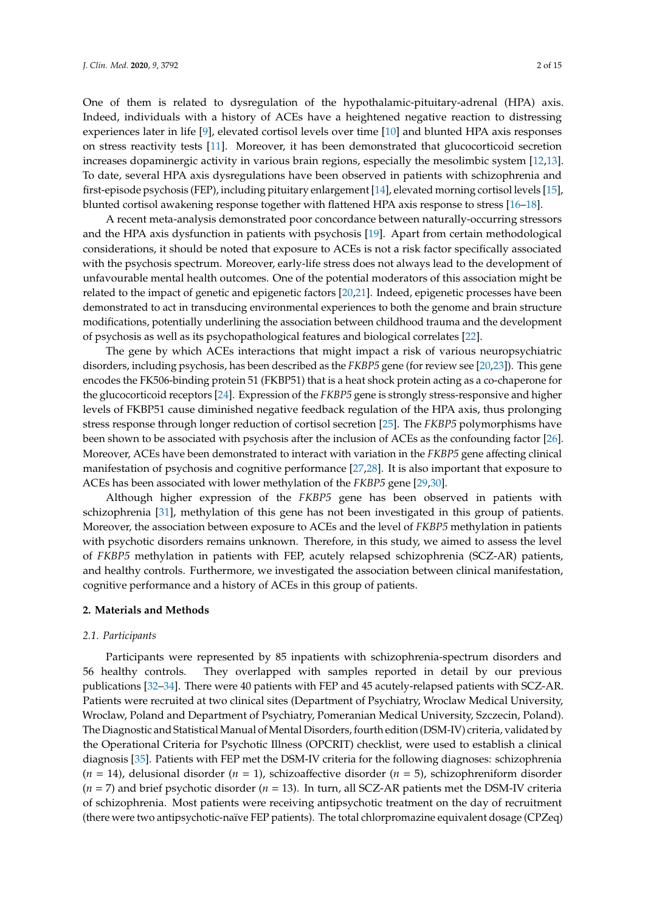One of them is related to dysregulation of the hypothalamic-pituitary-adrenal (HPA) axis. Indeed, individuals with a history of ACEs have a heightened negative reaction to distressing experiences later in life [\[9\]](#page-11-7), elevated cortisol levels over time [\[10\]](#page-11-8) and blunted HPA axis responses on stress reactivity tests [\[11\]](#page-11-9). Moreover, it has been demonstrated that glucocorticoid secretion increases dopaminergic activity in various brain regions, especially the mesolimbic system [\[12,](#page-11-10)[13\]](#page-11-11). To date, several HPA axis dysregulations have been observed in patients with schizophrenia and first-episode psychosis (FEP), including pituitary enlargement [\[14\]](#page-11-12), elevated morning cortisol levels [\[15\]](#page-11-13), blunted cortisol awakening response together with flattened HPA axis response to stress [\[16–](#page-11-14)[18\]](#page-11-15).

A recent meta-analysis demonstrated poor concordance between naturally-occurring stressors and the HPA axis dysfunction in patients with psychosis [\[19\]](#page-12-0). Apart from certain methodological considerations, it should be noted that exposure to ACEs is not a risk factor specifically associated with the psychosis spectrum. Moreover, early-life stress does not always lead to the development of unfavourable mental health outcomes. One of the potential moderators of this association might be related to the impact of genetic and epigenetic factors [\[20](#page-12-1)[,21\]](#page-12-2). Indeed, epigenetic processes have been demonstrated to act in transducing environmental experiences to both the genome and brain structure modifications, potentially underlining the association between childhood trauma and the development of psychosis as well as its psychopathological features and biological correlates [\[22\]](#page-12-3).

The gene by which ACEs interactions that might impact a risk of various neuropsychiatric disorders, including psychosis, has been described as the *FKBP5* gene (for review see [\[20](#page-12-1)[,23\]](#page-12-4)). This gene encodes the FK506-binding protein 51 (FKBP51) that is a heat shock protein acting as a co-chaperone for the glucocorticoid receptors [\[24\]](#page-12-5). Expression of the *FKBP5* gene is strongly stress-responsive and higher levels of FKBP51 cause diminished negative feedback regulation of the HPA axis, thus prolonging stress response through longer reduction of cortisol secretion [\[25\]](#page-12-6). The *FKBP5* polymorphisms have been shown to be associated with psychosis after the inclusion of ACEs as the confounding factor [\[26\]](#page-12-7). Moreover, ACEs have been demonstrated to interact with variation in the *FKBP5* gene affecting clinical manifestation of psychosis and cognitive performance [\[27](#page-12-8)[,28\]](#page-12-9). It is also important that exposure to ACEs has been associated with lower methylation of the *FKBP5* gene [\[29](#page-12-10)[,30\]](#page-12-11).

Although higher expression of the *FKBP5* gene has been observed in patients with schizophrenia [\[31\]](#page-12-12), methylation of this gene has not been investigated in this group of patients. Moreover, the association between exposure to ACEs and the level of *FKBP5* methylation in patients with psychotic disorders remains unknown. Therefore, in this study, we aimed to assess the level of *FKBP5* methylation in patients with FEP, acutely relapsed schizophrenia (SCZ-AR) patients, and healthy controls. Furthermore, we investigated the association between clinical manifestation, cognitive performance and a history of ACEs in this group of patients.

## **2. Materials and Methods**

#### *2.1. Participants*

Participants were represented by 85 inpatients with schizophrenia-spectrum disorders and 56 healthy controls. They overlapped with samples reported in detail by our previous publications [\[32](#page-12-13)[–34\]](#page-12-14). There were 40 patients with FEP and 45 acutely-relapsed patients with SCZ-AR. Patients were recruited at two clinical sites (Department of Psychiatry, Wroclaw Medical University, Wroclaw, Poland and Department of Psychiatry, Pomeranian Medical University, Szczecin, Poland). The Diagnostic and Statistical Manual of Mental Disorders, fourth edition (DSM-IV) criteria, validated by the Operational Criteria for Psychotic Illness (OPCRIT) checklist, were used to establish a clinical diagnosis [\[35\]](#page-12-15). Patients with FEP met the DSM-IV criteria for the following diagnoses: schizophrenia (*n* = 14), delusional disorder (*n* = 1), schizoaffective disorder (*n* = 5), schizophreniform disorder (*n* = 7) and brief psychotic disorder (*n* = 13). In turn, all SCZ-AR patients met the DSM-IV criteria of schizophrenia. Most patients were receiving antipsychotic treatment on the day of recruitment (there were two antipsychotic-naïve FEP patients). The total chlorpromazine equivalent dosage (CPZeq)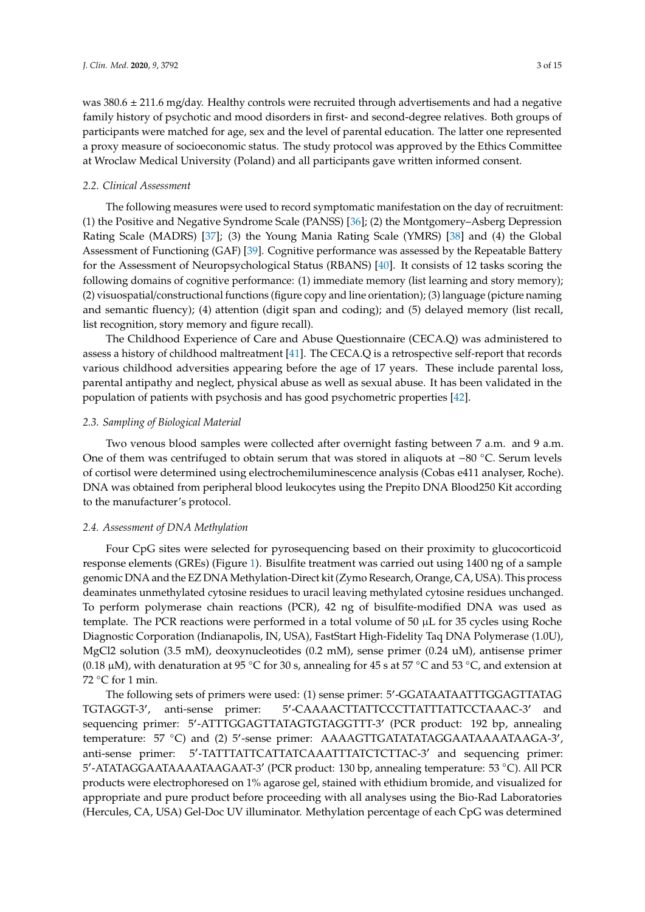was  $380.6 \pm 211.6$  mg/day. Healthy controls were recruited through advertisements and had a negative family history of psychotic and mood disorders in first- and second-degree relatives. Both groups of participants were matched for age, sex and the level of parental education. The latter one represented a proxy measure of socioeconomic status. The study protocol was approved by the Ethics Committee at Wroclaw Medical University (Poland) and all participants gave written informed consent.

## *2.2. Clinical Assessment*

The following measures were used to record symptomatic manifestation on the day of recruitment: (1) the Positive and Negative Syndrome Scale (PANSS) [\[36\]](#page-12-16); (2) the Montgomery–Asberg Depression Rating Scale (MADRS) [\[37\]](#page-12-17); (3) the Young Mania Rating Scale (YMRS) [\[38\]](#page-12-18) and (4) the Global Assessment of Functioning (GAF) [\[39\]](#page-13-0). Cognitive performance was assessed by the Repeatable Battery for the Assessment of Neuropsychological Status (RBANS) [\[40\]](#page-13-1). It consists of 12 tasks scoring the following domains of cognitive performance: (1) immediate memory (list learning and story memory); (2) visuospatial/constructional functions (figure copy and line orientation); (3) language (picture naming and semantic fluency); (4) attention (digit span and coding); and (5) delayed memory (list recall, list recognition, story memory and figure recall).

The Childhood Experience of Care and Abuse Questionnaire (CECA.Q) was administered to assess a history of childhood maltreatment [\[41\]](#page-13-2). The CECA.Q is a retrospective self-report that records various childhood adversities appearing before the age of 17 years. These include parental loss, parental antipathy and neglect, physical abuse as well as sexual abuse. It has been validated in the population of patients with psychosis and has good psychometric properties [\[42\]](#page-13-3).

## *2.3. Sampling of Biological Material*

Two venous blood samples were collected after overnight fasting between 7 a.m. and 9 a.m. One of them was centrifuged to obtain serum that was stored in aliquots at −80 ◦C. Serum levels of cortisol were determined using electrochemiluminescence analysis (Cobas e411 analyser, Roche). DNA was obtained from peripheral blood leukocytes using the Prepito DNA Blood250 Kit according to the manufacturer's protocol.

## *2.4. Assessment of DNA Methylation*

Four CpG sites were selected for pyrosequencing based on their proximity to glucocorticoid response elements (GREs) (Figure [1\)](#page-3-0). Bisulfite treatment was carried out using 1400 ng of a sample genomic DNA and the EZ DNA Methylation-Direct kit (Zymo Research, Orange, CA, USA). This process deaminates unmethylated cytosine residues to uracil leaving methylated cytosine residues unchanged. To perform polymerase chain reactions (PCR), 42 ng of bisulfite-modified DNA was used as template. The PCR reactions were performed in a total volume of 50 µL for 35 cycles using Roche Diagnostic Corporation (Indianapolis, IN, USA), FastStart High-Fidelity Taq DNA Polymerase (1.0U), MgCl2 solution (3.5 mM), deoxynucleotides (0.2 mM), sense primer (0.24 uM), antisense primer (0.18  $\mu$ M), with denaturation at 95 °C for 30 s, annealing for 45 s at 57 °C and 53 °C, and extension at 72  $°C$  for 1 min.

The following sets of primers were used: (1) sense primer: 5'-GGATAATAATTTGGAGTTATAG TGTAGGT-3', anti-sense primer: 5' 5'-CAAAACTTATTCCCTTATTTATTCCTAAAC-3' and sequencing primer: 5'-ATTTGGAGTTATAGTGTAGGTTT-3' (PCR product: 192 bp, annealing temperature: 57 °C) and (2) 5'-sense primer: AAAAGTTGATATATAGGAATAAAATAAGA-3', anti-sense primer: 5'-TATTTATTCATTATCAAATTTATCTCTTAC-3' and sequencing primer: 5'-ATATAGGAATAAAATAAGAAT-3' (PCR product: 130 bp, annealing temperature: 53 °C). All PCR products were electrophoresed on 1% agarose gel, stained with ethidium bromide, and visualized for appropriate and pure product before proceeding with all analyses using the Bio-Rad Laboratories (Hercules, CA, USA) Gel-Doc UV illuminator. Methylation percentage of each CpG was determined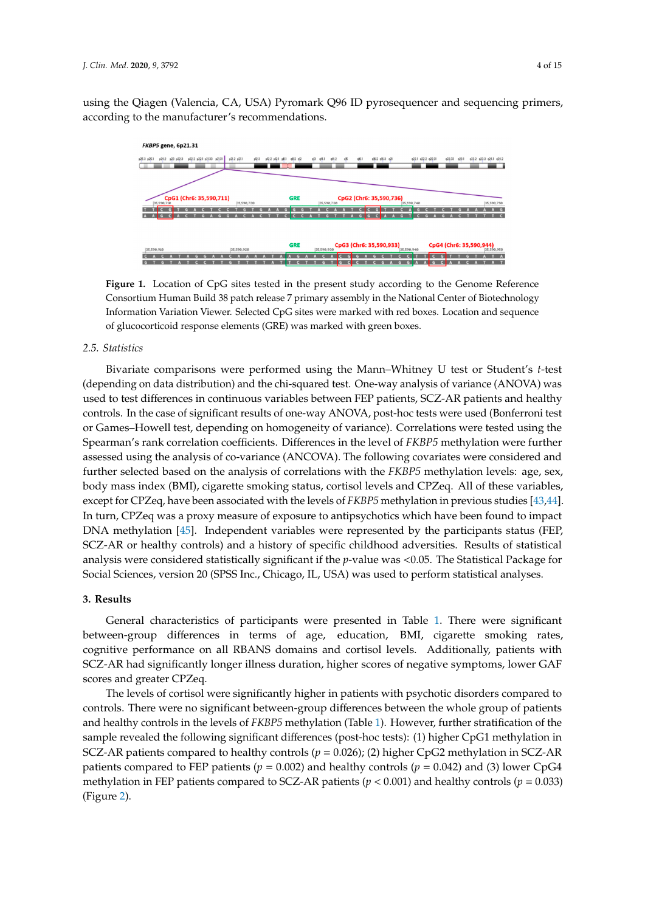<span id="page-3-0"></span>using the Qiagen (Valencia, CA, USA) Pyromark Q96 ID pyrosequencer and sequencing primers, according to the manufacturer's recommendations.



Figure 1. Location of CpG sites tested in the present study according to the Genome Reference Consortium Human Build 38 patch release 7 primary assembly in the National Center of Biotechnology Information Variation Viewer. Selected CpG sites were marked with red boxes. Location and sequence of glucocorticoid response elements (GRE) was marked with green boxes.

#### *2.5. Statistics*

Bivariate comparisons were performed using the Mann–Whitney U test or Student's *t*-test (depending on data distribution) and the chi-squared test. One-way analysis of variance (ANOVA) was used to test differences in continuous variables between FEP patients, SCZ-AR patients and healthy controls. In the case of significant results of one-way ANOVA, post-hoc tests were used (Bonferroni test or Games–Howell test, depending on homogeneity of variance). Correlations were tested using the Spearman's rank correlation coefficients. Differences in the level of *FKBP5* methylation were further assessed using the analysis of co-variance (ANCOVA). The following covariates were considered and further selected based on the analysis of correlations with the *FKBP5* methylation levels: age, sex, body mass index (BMI), cigarette smoking status, cortisol levels and CPZeq. All of these variables, except for CPZeq, have been associated with the levels of *FKBP5* methylation in previous studies [\[43](#page-13-4)[,44\]](#page-13-5). In turn, CPZeq was a proxy measure of exposure to antipsychotics which have been found to impact DNA methylation [\[45\]](#page-13-6). Independent variables were represented by the participants status (FEP, SCZ-AR or healthy controls) and a history of specific childhood adversities. Results of statistical analysis were considered statistically significant if the *p*-value was <0.05. The Statistical Package for Social Sciences, version 20 (SPSS Inc., Chicago, IL, USA) was used to perform statistical analyses.

## **3. Results**

General characteristics of participants were presented in Table [1.](#page-5-0) There were significant between-group differences in terms of age, education, BMI, cigarette smoking rates, cognitive performance on all RBANS domains and cortisol levels. Additionally, patients with SCZ-AR had significantly longer illness duration, higher scores of negative symptoms, lower GAF scores and greater CPZeq.

The levels of cortisol were significantly higher in patients with psychotic disorders compared to controls. There were no significant between-group differences between the whole group of patients and healthy controls in the levels of *FKBP5* methylation (Table [1\)](#page-5-0). However, further stratification of the sample revealed the following significant differences (post-hoc tests): (1) higher CpG1 methylation in SCZ-AR patients compared to healthy controls (*p* = 0.026); (2) higher CpG2 methylation in SCZ-AR patients compared to FEP patients ( $p = 0.002$ ) and healthy controls ( $p = 0.042$ ) and (3) lower CpG4 methylation in FEP patients compared to SCZ-AR patients (*p* < 0.001) and healthy controls (*p* = 0.033) (Figure [2\)](#page-6-0).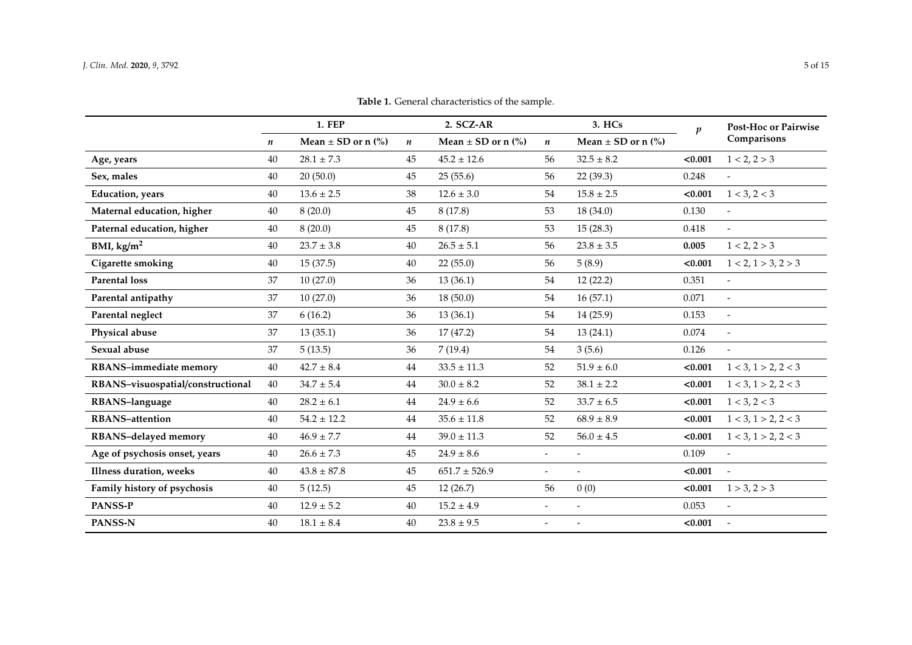|                                   |                                                           | <b>1. FEP</b>   |                                            | 2. SCZ-AR         |                          | 3. HCs                   | $\boldsymbol{p}$ | <b>Post-Hoc or Pairwise</b> |  |
|-----------------------------------|-----------------------------------------------------------|-----------------|--------------------------------------------|-------------------|--------------------------|--------------------------|------------------|-----------------------------|--|
|                                   | Mean $\pm$ SD or n $\left(\% \right)$<br>$\boldsymbol{n}$ |                 | Mean $\pm$ SD or n (%)<br>$\boldsymbol{n}$ |                   | $\boldsymbol{n}$         | Mean $\pm$ SD or n (%)   |                  | Comparisons                 |  |
| Age, years                        | 40                                                        | $28.1 \pm 7.3$  | 45                                         | $45.2 \pm 12.6$   | 56                       | $32.5 \pm 8.2$           | < 0.001          | 1 < 2, 2 > 3                |  |
| Sex, males                        | 40                                                        | 20(50.0)        | 45                                         | 25(55.6)          | 56                       | 22(39.3)                 | 0.248            | $\overline{\phantom{a}}$    |  |
| <b>Education</b> , years          | 40                                                        | $13.6 \pm 2.5$  | 38                                         | $12.6 \pm 3.0$    | 54                       | $15.8 \pm 2.5$           | < 0.001          | 1 < 3, 2 < 3                |  |
| Maternal education, higher        | 40                                                        | 8(20.0)         | 45                                         | 8(17.8)           | 53                       | 18(34.0)                 | 0.130            | $\blacksquare$              |  |
| Paternal education, higher        | 40                                                        | 8(20.0)         | 45                                         | 8(17.8)           | 53                       | 15(28.3)                 | 0.418            | $\blacksquare$              |  |
| BMI, $\text{kg/m}^2$              | 40                                                        | $23.7 \pm 3.8$  | 40                                         | $26.5 \pm 5.1$    | 56                       | $23.8 \pm 3.5$           | 0.005            | 1 < 2, 2 > 3                |  |
| Cigarette smoking                 | 40                                                        | 15(37.5)        | 40                                         | 22(55.0)          | 56                       | 5(8.9)                   | < 0.001          | 1 < 2, 1 > 3, 2 > 3         |  |
| <b>Parental loss</b>              | 37                                                        | 10(27.0)        | 36                                         | 13(36.1)          | 54                       | 12(22.2)                 | 0.351            | $\sim$                      |  |
| Parental antipathy                | 37                                                        | 10(27.0)        | 36                                         | 18(50.0)          | 54                       | 16(57.1)                 | 0.071            | $\overline{\phantom{a}}$    |  |
| Parental neglect                  | 37                                                        | 6(16.2)         | 36                                         | 13(36.1)          | 54                       | 14(25.9)                 | 0.153            | $\overline{a}$              |  |
| Physical abuse                    | 37                                                        | 13(35.1)        | 36                                         | 17(47.2)          | 54                       | 13(24.1)                 | 0.074            | $\overline{a}$              |  |
| Sexual abuse                      | 37                                                        | 5(13.5)         | 36                                         | 7(19.4)           | 54                       | 3(5.6)                   | 0.126            | $\overline{\phantom{a}}$    |  |
| <b>RBANS-immediate memory</b>     | 40                                                        | $42.7 \pm 8.4$  | 44                                         | $33.5 \pm 11.3$   | 52                       | $51.9 \pm 6.0$           | < 0.001          | 1 < 3, 1 > 2, 2 < 3         |  |
| RBANS-visuospatial/constructional | 40                                                        | $34.7 \pm 5.4$  | 44                                         | $30.0 \pm 8.2$    | 52                       | $38.1 \pm 2.2$           | < 0.001          | 1 < 3, 1 > 2, 2 < 3         |  |
| RBANS-language                    | 40                                                        | $28.2 \pm 6.1$  | 44                                         | $24.9 \pm 6.6$    | 52                       | $33.7 \pm 6.5$           | < 0.001          | 1 < 3, 2 < 3                |  |
| <b>RBANS-attention</b>            | 40                                                        | $54.2 \pm 12.2$ | 44                                         | $35.6 \pm 11.8$   | 52                       | $68.9 \pm 8.9$           | < 0.001          | 1 < 3, 1 > 2, 2 < 3         |  |
| <b>RBANS-delayed memory</b>       | 40                                                        | $46.9 \pm 7.7$  | 44                                         | $39.0 \pm 11.3$   | 52                       | $56.0 \pm 4.5$           | < 0.001          | 1 < 3, 1 > 2, 2 < 3         |  |
| Age of psychosis onset, years     | 40                                                        | $26.6 \pm 7.3$  | 45                                         | $24.9 \pm 8.6$    | $\overline{\phantom{a}}$ |                          | 0.109            | $\sim$                      |  |
| Illness duration, weeks           | 40                                                        | $43.8 \pm 87.8$ | 45                                         | $651.7 \pm 526.9$ | $\sim$                   | $\overline{\phantom{a}}$ | < 0.001          | $\sim$                      |  |
| Family history of psychosis       | 40                                                        | 5(12.5)         | 45                                         | 12(26.7)          | 56                       | 0(0)                     | < 0.001          | 1 > 3, 2 > 3                |  |
| <b>PANSS-P</b>                    | 40                                                        | $12.9 \pm 5.2$  | 40                                         | $15.2 \pm 4.9$    | $\overline{a}$           |                          | 0.053            | $\overline{\phantom{a}}$    |  |
| PANSS-N                           | 40                                                        | $18.1 \pm 8.4$  | 40                                         | $23.8 \pm 9.5$    |                          |                          | < 0.001          | $\overline{\phantom{a}}$    |  |

**Table 1.** General characteristics of the sample.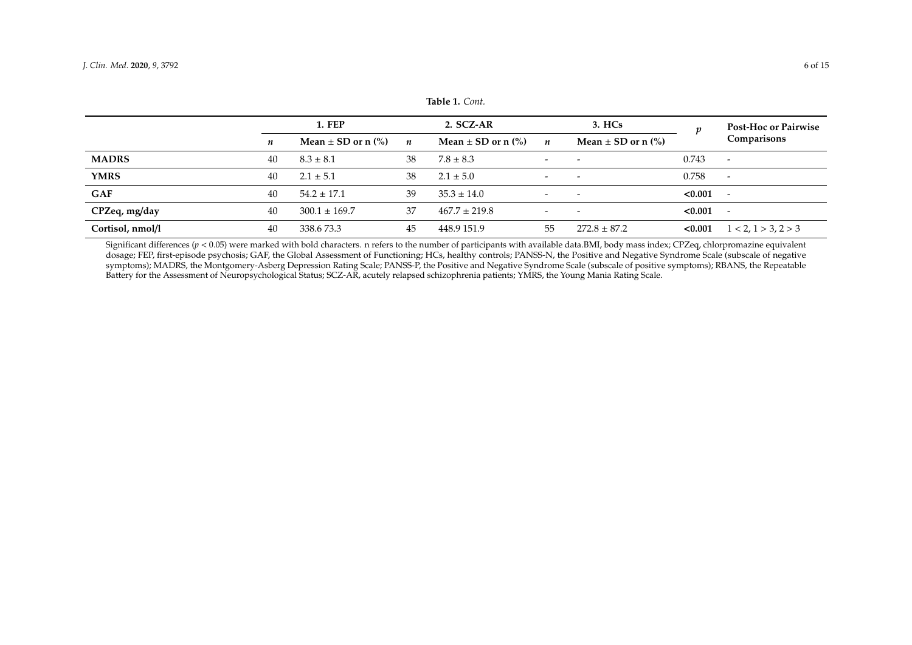|                  |    | <b>1. FEP</b><br>Mean $\pm$ SD or n $\left(\% \right)$<br>n |    | 2. SCZ-AR                                                 | 3. HCs                   |                                                           | <b>Post-Hoc or Pairwise</b> |                          |
|------------------|----|-------------------------------------------------------------|----|-----------------------------------------------------------|--------------------------|-----------------------------------------------------------|-----------------------------|--------------------------|
|                  |    |                                                             |    | Mean $\pm$ SD or n $\left(\% \right)$<br>$\boldsymbol{n}$ |                          | Mean $\pm$ SD or n $\left(\% \right)$<br>$\boldsymbol{n}$ |                             | Comparisons              |
| <b>MADRS</b>     | 40 | $8.3 \pm 8.1$                                               | 38 | $7.8 \pm 8.3$                                             | $\sim$                   | $\overline{\phantom{0}}$                                  | 0.743                       | $\overline{\phantom{a}}$ |
| <b>YMRS</b>      | 40 | $2.1 \pm 5.1$                                               | 38 | $2.1 \pm 5.0$                                             | $\sim$                   | $\overline{\phantom{a}}$                                  | 0.758                       | $\sim$                   |
| GAF              | 40 | $54.2 \pm 17.1$                                             | 39 | $35.3 \pm 14.0$                                           | $\sim$                   | $\overline{\phantom{a}}$                                  | < 0.001                     | $\overline{\phantom{a}}$ |
| CPZeq, mg/day    | 40 | $300.1 \pm 169.7$                                           | 37 | $467.7 \pm 219.8$                                         | $\overline{\phantom{0}}$ | $\overline{\phantom{0}}$                                  | < 0.001                     | $\overline{\phantom{a}}$ |
| Cortisol, nmol/l | 40 | 338.673.3                                                   | 45 | 448.9 151.9                                               | 55                       | $272.8 \pm 87.2$                                          | < 0.001                     | 1 < 2, 1 > 3, 2 > 3      |

**Table 1.** *Cont.*

<span id="page-5-0"></span>Significant differences ( $p < 0.05$ ) were marked with bold characters. n refers to the number of participants with available data.BMI, body mass index; CPZeq, chlorpromazine equivalent dosage; FEP, first-episode psychosis; GAF, the Global Assessment of Functioning; HCs, healthy controls; PANSS-N, the Positive and Negative Syndrome Scale (subscale of negative symptoms); MADRS, the Montgomery-Asberg Depression Rating Scale; PANSS-P, the Positive and Negative Syndrome Scale (subscale of positive symptoms); RBANS, the Repeatable Battery for the Assessment of Neuropsychological Status; SCZ-AR, acutely relapsed schizophrenia patients; YMRS, the Young Mania Rating Scale.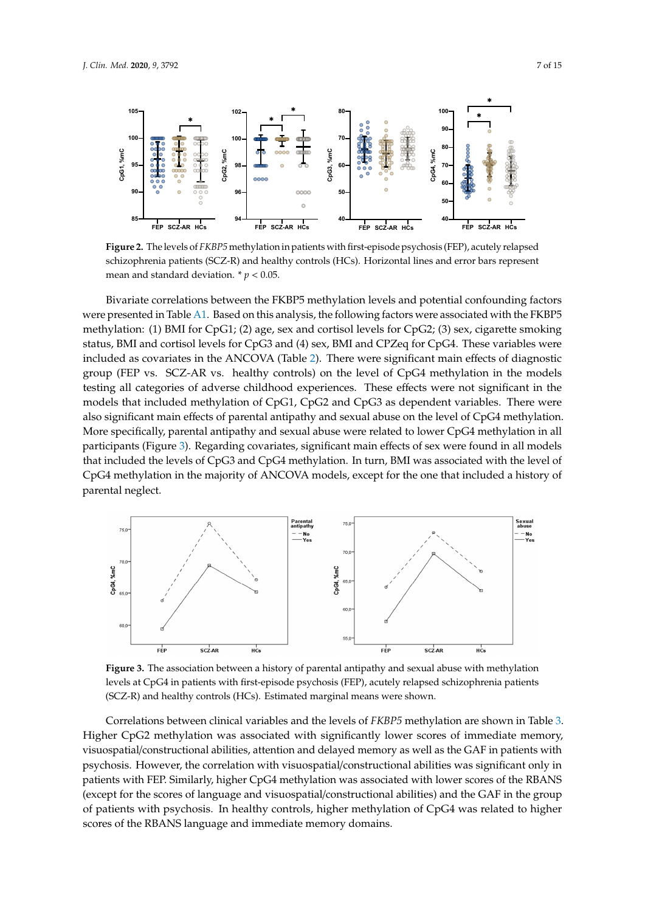<span id="page-6-0"></span>

**Figure 2.** The levels of *FKBP5* methylation in patients with first-episode psychosis (FEP), acutely relapsed schizophrenia patients (SCZ-R) and healthy controls (HCs). Horizontal lines and error bars represent mean and standard deviation.  $* p < 0.05$ .

Bivariate correlations between the FKBP5 methylation levels and potential confounding factors were presented in Table [A1.](#page-10-0) Based on this analysis, the following factors were associated with the FKBP5 methylation: (1) BMI for CpG1; (2) age, sex and cortisol levels for CpG2; (3) sex, cigarette smoking status, BMI and cortisol levels for CpG3 and (4) sex, BMI and CPZeq for CpG4. These variables were included as covariates in the ANCOVA (Table [2\)](#page-7-0). There were significant main effects of diagnostic group (FEP vs. SCZ-AR vs. healthy controls) on the level of CpG4 methylation in the models testing all categories of adverse childhood experiences. These effects were not significant in the models that included methylation of CpG1, CpG2 and CpG3 as dependent variables. There were also significant main effects of parental antipathy and sexual abuse on the level of CpG4 methylation. More specifically, parental antipathy and sexual abuse were related to lower CpG4 methylation in all participants (Figure [3\)](#page-6-1). Regarding covariates, significant main effects of sex were found in all models that included the levels of CpG3 and CpG4 methylation. In turn, BMI was associated with the level of CpG4 methylation in the majority of ANCOVA models, except for the one that included a history of parental neglect. *J. Clin. Med.* **2020**, *9*, x FOR PEER REVIEW 9 of 16

<span id="page-6-1"></span>

**Figure 3.** The association between a history of parental antipathy and sexual abuse with methylation levels **Figure 3.** The association between a history of parental antipathy and sexual abuse with methylation levels at CpG4 in patients with first-episode psychosis (FEP), acutely relapsed schizophrenia patients (SCZ-R) and healthy controls (HCs). Estimated marginal means were shown.

Correlations between clinical variables and the levels of *FKBP5* methylation are shown in Table 3. Correlations between clinical variables and the levels of *FKBP5* methylation are shown in Table [3.](#page-8-0) Higher CpG2 methylation was associated with significantly lower scores of immediate memory, visuospatial/constructional abilities, attention and delayed memory as well as the GAF in patients with psychosis. However, the correlation with visuospatial/constructional abilities was significant only in  $\epsilon$  is the scores of language and visuospatial abilities of  $\epsilon$  in the group of  $\epsilon$  in the group of  $\epsilon$  in the group of  $\epsilon$  in the group of  $\epsilon$  in the group of  $\epsilon$  in the group of  $\epsilon$  in the group of  $\epsilon$  in the g patients with FEP. Similarly, higher CpG4 methylation was associated with lower scores of the RBANS (except for the scores of language and visuospatial/constructional abilities) and the GAF in the group of patients with psychosis. In healthy controls, higher methylation of CpG4 was related to higher scores of the RBANS language and immediate memory domains.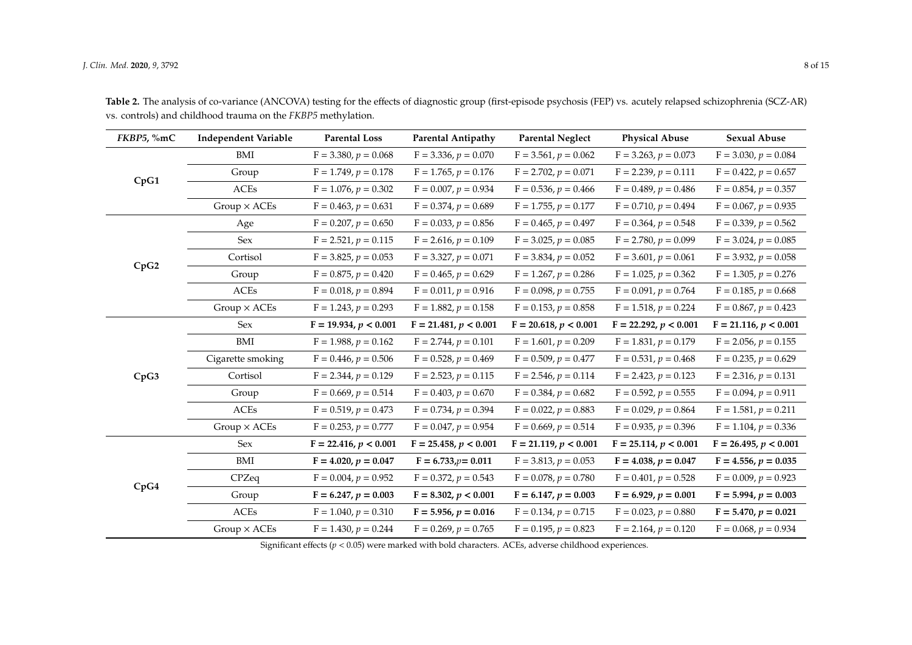<span id="page-7-0"></span>

| FKBP5, %mC | <b>Independent Variable</b> | <b>Parental Loss</b>      | <b>Parental Antipathy</b> | <b>Parental Neglect</b>   | <b>Physical Abuse</b>   | <b>Sexual Abuse</b>       |
|------------|-----------------------------|---------------------------|---------------------------|---------------------------|-------------------------|---------------------------|
| CpG1       | BMI                         | $F = 3.380, p = 0.068$    | $F = 3.336, p = 0.070$    | $F = 3.561, p = 0.062$    | $F = 3.263, p = 0.073$  | $F = 3.030, p = 0.084$    |
|            | Group                       | $F = 1.749, p = 0.178$    | $F = 1.765, p = 0.176$    | $F = 2.702$ , $p = 0.071$ | $F = 2.239, p = 0.111$  | $F = 0.422$ , $p = 0.657$ |
|            | ACEs                        | $F = 1.076, p = 0.302$    | $F = 0.007, p = 0.934$    | $F = 0.536, p = 0.466$    | $F = 0.489, p = 0.486$  | $F = 0.854, p = 0.357$    |
|            | $Group \times ACEs$         | $F = 0.463, p = 0.631$    | $F = 0.374, p = 0.689$    | $F = 1.755$ , $p = 0.177$ | $F = 0.710, p = 0.494$  | $F = 0.067, p = 0.935$    |
|            | Age                         | $F = 0.207, p = 0.650$    | $F = 0.033, p = 0.856$    | $F = 0.465, p = 0.497$    | $F = 0.364, p = 0.548$  | $F = 0.339, p = 0.562$    |
|            | Sex                         | $F = 2.521, p = 0.115$    | $F = 2.616, p = 0.109$    | $F = 3.025, p = 0.085$    | $F = 2.780, p = 0.099$  | $F = 3.024, p = 0.085$    |
|            | Cortisol                    | $F = 3.825, p = 0.053$    | $F = 3.327, p = 0.071$    | $F = 3.834, p = 0.052$    | $F = 3.601, p = 0.061$  | $F = 3.932, p = 0.058$    |
| CpG2       | Group                       | $F = 0.875, p = 0.420$    | $F = 0.465, p = 0.629$    | $F = 1.267, p = 0.286$    | $F = 1.025, p = 0.362$  | $F = 1.305, p = 0.276$    |
|            | ACEs                        | $F = 0.018$ , $p = 0.894$ | $F = 0.011, p = 0.916$    | $F = 0.098, p = 0.755$    | $F = 0.091, p = 0.764$  | $F = 0.185, p = 0.668$    |
|            | $Group \times ACEs$         | $F = 1.243, p = 0.293$    | $F = 1.882, p = 0.158$    | $F = 0.153, p = 0.858$    | $F = 1.518, p = 0.224$  | $F = 0.867, p = 0.423$    |
|            | Sex                         | $F = 19.934, p < 0.001$   | $F = 21.481, p < 0.001$   | $F = 20.618, p < 0.001$   | $F = 22.292, p < 0.001$ | $F = 21.116, p < 0.001$   |
|            | BMI                         | $F = 1.988, p = 0.162$    | $F = 2.744, p = 0.101$    | $F = 1.601, p = 0.209$    | $F = 1.831, p = 0.179$  | $F = 2.056, p = 0.155$    |
|            | Cigarette smoking           | $F = 0.446, p = 0.506$    | $F = 0.528, p = 0.469$    | $F = 0.509, p = 0.477$    | $F = 0.531, p = 0.468$  | $F = 0.235, p = 0.629$    |
| CpG3       | Cortisol                    | $F = 2.344, p = 0.129$    | $F = 2.523, p = 0.115$    | $F = 2.546, p = 0.114$    | $F = 2.423, p = 0.123$  | $F = 2.316, p = 0.131$    |
|            | Group                       | $F = 0.669, p = 0.514$    | $F = 0.403, p = 0.670$    | $F = 0.384, p = 0.682$    | $F = 0.592, p = 0.555$  | $F = 0.094$ , $p = 0.911$ |
|            | $\rm ACEs$                  | $F = 0.519, p = 0.473$    | $F = 0.734, p = 0.394$    | $F = 0.022$ , $p = 0.883$ | $F = 0.029, p = 0.864$  | $F = 1.581, p = 0.211$    |
|            | $Group \times ACEs$         | $F = 0.253, p = 0.777$    | $F = 0.047, p = 0.954$    | $F = 0.669, p = 0.514$    | $F = 0.935, p = 0.396$  | $F = 1.104, p = 0.336$    |
|            | Sex                         | $F = 22.416, p < 0.001$   | $F = 25.458, p < 0.001$   | $F = 21.119, p < 0.001$   | $F = 25.114, p < 0.001$ | $F = 26.495, p < 0.001$   |
|            | BMI                         | $F = 4.020, p = 0.047$    | $F = 6.733$ , $p = 0.011$ | $F = 3.813, p = 0.053$    | $F = 4.038, p = 0.047$  | $F = 4.556, p = 0.035$    |
| CpG4       | CPZeq                       | $F = 0.004, p = 0.952$    | $F = 0.372, p = 0.543$    | $F = 0.078$ , $p = 0.780$ | $F = 0.401, p = 0.528$  | $F = 0.009, p = 0.923$    |
|            | Group                       | $F = 6.247, p = 0.003$    | $F = 8.302, p < 0.001$    | $F = 6.147, p = 0.003$    | $F = 6.929, p = 0.001$  | $F = 5.994, p = 0.003$    |
|            | $\rm ACEs$                  | $F = 1.040, p = 0.310$    | $F = 5.956, p = 0.016$    | $F = 0.134, p = 0.715$    | $F = 0.023, p = 0.880$  | $F = 5.470, p = 0.021$    |
|            | $Group \times ACEs$         | $F = 1.430, p = 0.244$    | $F = 0.269, p = 0.765$    | $F = 0.195, p = 0.823$    | $F = 2.164, p = 0.120$  | $F = 0.068, p = 0.934$    |
|            |                             |                           | 1.1 1 1 1 1               |                           |                         |                           |

**Table 2.** The analysis of co-variance (ANCOVA) testing for the effects of diagnostic group (first-episode psychosis (FEP) vs. acutely relapsed schizophrenia (SCZ-AR) vs. controls) and childhood trauma on the *FKBP5* methylation.

Significant effects ( $p < 0.05$ ) were marked with bold characters. ACEs, adverse childhood experiences.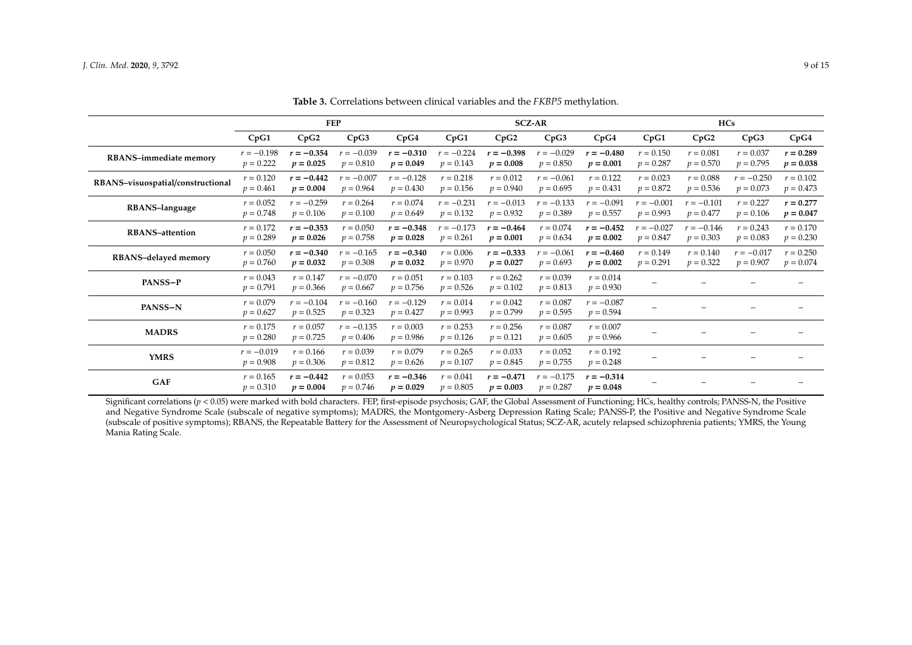|                                   | <b>FEP</b>                  |                             |                             | <b>SCZ-AR</b>               |                             |                             |                             | <b>HCs</b>                  |                             |                             |                             |                            |
|-----------------------------------|-----------------------------|-----------------------------|-----------------------------|-----------------------------|-----------------------------|-----------------------------|-----------------------------|-----------------------------|-----------------------------|-----------------------------|-----------------------------|----------------------------|
|                                   | CpG1                        | CpG2                        | CpG3                        | CpG4                        | CpG1                        | CpG2                        | CpG3                        | CpG4                        | CpG1                        | CpG2                        | CpG3                        | CpG4                       |
| <b>RBANS-immediate memory</b>     | $r = -0.198$<br>$p = 0.222$ | $r = -0.354$<br>$p = 0.025$ | $r = -0.039$<br>$p = 0.810$ | $r = -0.310$<br>$p = 0.049$ | $r = -0.224$<br>$p = 0.143$ | $r = -0.398$<br>$p = 0.008$ | $r = -0.029$<br>$p = 0.850$ | $r = -0.480$<br>$p = 0.001$ | $r = 0.150$<br>$p = 0.287$  | $r = 0.081$<br>$p = 0.570$  | $r = 0.037$<br>$p = 0.795$  | $r = 0.289$<br>$p = 0.038$ |
| RBANS-visuospatial/constructional | $r = 0.120$<br>$p = 0.461$  | $r = -0.442$<br>$p = 0.004$ | $r = -0.007$<br>$p = 0.964$ | $r = -0.128$<br>$p = 0.430$ | $r = 0.218$<br>$p = 0.156$  | $r = 0.012$<br>$p = 0.940$  | $r = -0.061$<br>$p = 0.695$ | $r = 0.122$<br>$p = 0.431$  | $r = 0.023$<br>$p = 0.872$  | $r = 0.088$<br>$p = 0.536$  | $r = -0.250$<br>$p = 0.073$ | $r = 0.102$<br>$p = 0.473$ |
| RBANS-language                    | $r = 0.052$<br>$p = 0.748$  | $r = -0.259$<br>$p = 0.106$ | $r = 0.264$<br>$p = 0.100$  | $r = 0.074$<br>$p = 0.649$  | $r = -0.231$<br>$p = 0.132$ | $r = -0.013$<br>$p = 0.932$ | $r = -0.133$<br>$p = 0.389$ | $r = -0.091$<br>$p = 0.557$ | $r = -0.001$<br>$p = 0.993$ | $r = -0.101$<br>$p = 0.477$ | $r = 0.227$<br>$p = 0.106$  | $r = 0.277$<br>$p = 0.047$ |
| <b>RBANS-attention</b>            | $r = 0.172$<br>$p = 0.289$  | $r = -0.353$<br>$p = 0.026$ | $r = 0.050$<br>$p = 0.758$  | $r = -0.348$<br>$p = 0.028$ | $r = -0.173$<br>$p = 0.261$ | $r = -0.464$<br>$p = 0.001$ | $r = 0.074$<br>$p = 0.634$  | $r = -0.452$<br>$p = 0.002$ | $r = -0.027$<br>$p = 0.847$ | $r = -0.146$<br>$p = 0.303$ | $r = 0.243$<br>$p = 0.083$  | $r = 0.170$<br>$p = 0.230$ |
| <b>RBANS-delayed memory</b>       | $r = 0.050$<br>$p = 0.760$  | $r = -0.340$<br>$p = 0.032$ | $r = -0.165$<br>$p = 0.308$ | $r = -0.340$<br>$p = 0.032$ | $r = 0.006$<br>$p = 0.970$  | $r = -0.333$<br>$p = 0.027$ | $r = -0.061$<br>$p = 0.693$ | $r = -0.460$<br>$p = 0.002$ | $r = 0.149$<br>$p = 0.291$  | $r = 0.140$<br>$p = 0.322$  | $r = -0.017$<br>$p = 0.907$ | $r = 0.250$<br>$p = 0.074$ |
| PANSS-P                           | $r = 0.043$<br>$p = 0.791$  | $r = 0.147$<br>$p = 0.366$  | $r = -0.070$<br>$p = 0.667$ | $r = 0.051$<br>$p = 0.756$  | $r = 0.103$<br>$p = 0.526$  | $r = 0.262$<br>$p = 0.102$  | $r = 0.039$<br>$p = 0.813$  | $r = 0.014$<br>$p = 0.930$  |                             |                             |                             |                            |
| PANSS-N                           | $r = 0.079$<br>$p = 0.627$  | $r = -0.104$<br>$p = 0.525$ | $r = -0.160$<br>$p = 0.323$ | $r = -0.129$<br>$p = 0.427$ | $r = 0.014$<br>$p = 0.993$  | $r = 0.042$<br>$p = 0.799$  | $r = 0.087$<br>$p = 0.595$  | $r = -0.087$<br>$p = 0.594$ | $\overline{\phantom{0}}$    | $\overline{\phantom{0}}$    |                             |                            |
| <b>MADRS</b>                      | $r = 0.175$<br>$p = 0.280$  | $r = 0.057$<br>$p = 0.725$  | $r = -0.135$<br>$p = 0.406$ | $r = 0.003$<br>$p = 0.986$  | $r = 0.253$<br>$p = 0.126$  | $r = 0.256$<br>$p = 0.121$  | $r = 0.087$<br>$p = 0.605$  | $r = 0.007$<br>$p = 0.966$  |                             |                             |                             |                            |
| <b>YMRS</b>                       | $r = -0.019$<br>$p = 0.908$ | $r = 0.166$<br>$p = 0.306$  | $r = 0.039$<br>$p = 0.812$  | $r = 0.079$<br>$p = 0.626$  | $r = 0.265$<br>$p = 0.107$  | $r = 0.033$<br>$p = 0.845$  | $r = 0.052$<br>$p = 0.755$  | $r = 0.192$<br>$p = 0.248$  |                             |                             |                             |                            |
| GAF                               | $r = 0.165$<br>$p = 0.310$  | $r = -0.442$<br>$p = 0.004$ | $r = 0.053$<br>$p = 0.746$  | $r = -0.346$<br>$p = 0.029$ | $r = 0.041$<br>$p = 0.805$  | $r = -0.471$<br>$p = 0.003$ | $r = -0.175$<br>$p = 0.287$ | $r = -0.314$<br>$p = 0.048$ |                             |                             |                             |                            |

**Table 3.** Correlations between clinical variables and the *FKBP5* methylation.

<span id="page-8-0"></span>Significant correlations ( $p < 0.05$ ) were marked with bold characters. FEP, first-episode psychosis; GAF, the Global Assessment of Functioning; HCs, healthy controls; PANSS-N, the Positive and Negative Syndrome Scale (subscale of negative symptoms); MADRS, the Montgomery-Asberg Depression Rating Scale; PANSS-P, the Positive and Negative Syndrome Scale (subscale of positive symptoms); RBANS, the Repeatable Battery for the Assessment of Neuropsychological Status; SCZ-AR, acutely relapsed schizophrenia patients; YMRS, the Young Mania Rating Scale.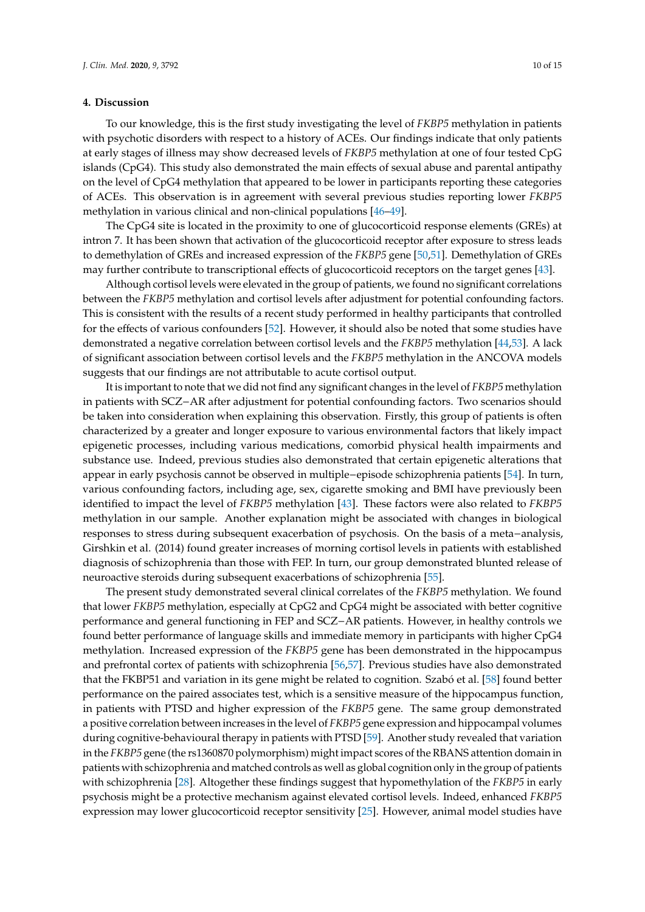## **4. Discussion**

To our knowledge, this is the first study investigating the level of *FKBP5* methylation in patients with psychotic disorders with respect to a history of ACEs. Our findings indicate that only patients at early stages of illness may show decreased levels of *FKBP5* methylation at one of four tested CpG islands (CpG4). This study also demonstrated the main effects of sexual abuse and parental antipathy on the level of CpG4 methylation that appeared to be lower in participants reporting these categories of ACEs. This observation is in agreement with several previous studies reporting lower *FKBP5* methylation in various clinical and non-clinical populations [\[46](#page-13-7)[–49\]](#page-13-8).

The CpG4 site is located in the proximity to one of glucocorticoid response elements (GREs) at intron 7. It has been shown that activation of the glucocorticoid receptor after exposure to stress leads to demethylation of GREs and increased expression of the *FKBP5* gene [\[50,](#page-13-9)[51\]](#page-13-10). Demethylation of GREs may further contribute to transcriptional effects of glucocorticoid receptors on the target genes [\[43\]](#page-13-4).

Although cortisol levels were elevated in the group of patients, we found no significant correlations between the *FKBP5* methylation and cortisol levels after adjustment for potential confounding factors. This is consistent with the results of a recent study performed in healthy participants that controlled for the effects of various confounders [\[52\]](#page-13-11). However, it should also be noted that some studies have demonstrated a negative correlation between cortisol levels and the *FKBP5* methylation [\[44](#page-13-5)[,53\]](#page-13-12). A lack of significant association between cortisol levels and the *FKBP5* methylation in the ANCOVA models suggests that our findings are not attributable to acute cortisol output.

It is important to note that we did not find any significant changes in the level of *FKBP5* methylation in patients with SCZ−AR after adjustment for potential confounding factors. Two scenarios should be taken into consideration when explaining this observation. Firstly, this group of patients is often characterized by a greater and longer exposure to various environmental factors that likely impact epigenetic processes, including various medications, comorbid physical health impairments and substance use. Indeed, previous studies also demonstrated that certain epigenetic alterations that appear in early psychosis cannot be observed in multiple−episode schizophrenia patients [\[54\]](#page-13-13). In turn, various confounding factors, including age, sex, cigarette smoking and BMI have previously been identified to impact the level of *FKBP5* methylation [\[43\]](#page-13-4). These factors were also related to *FKBP5* methylation in our sample. Another explanation might be associated with changes in biological responses to stress during subsequent exacerbation of psychosis. On the basis of a meta−analysis, Girshkin et al. (2014) found greater increases of morning cortisol levels in patients with established diagnosis of schizophrenia than those with FEP. In turn, our group demonstrated blunted release of neuroactive steroids during subsequent exacerbations of schizophrenia [\[55\]](#page-13-14).

The present study demonstrated several clinical correlates of the *FKBP5* methylation. We found that lower *FKBP5* methylation, especially at CpG2 and CpG4 might be associated with better cognitive performance and general functioning in FEP and SCZ−AR patients. However, in healthy controls we found better performance of language skills and immediate memory in participants with higher CpG4 methylation. Increased expression of the *FKBP5* gene has been demonstrated in the hippocampus and prefrontal cortex of patients with schizophrenia [\[56,](#page-13-15)[57\]](#page-13-16). Previous studies have also demonstrated that the FKBP51 and variation in its gene might be related to cognition. Szabó et al. [\[58\]](#page-14-0) found better performance on the paired associates test, which is a sensitive measure of the hippocampus function, in patients with PTSD and higher expression of the *FKBP5* gene. The same group demonstrated a positive correlation between increases in the level of *FKBP5* gene expression and hippocampal volumes during cognitive-behavioural therapy in patients with PTSD [\[59\]](#page-14-1). Another study revealed that variation in the *FKBP5* gene (the rs1360870 polymorphism) might impact scores of the RBANS attention domain in patients with schizophrenia and matched controls as well as global cognition only in the group of patients with schizophrenia [\[28\]](#page-12-9). Altogether these findings suggest that hypomethylation of the *FKBP5* in early psychosis might be a protective mechanism against elevated cortisol levels. Indeed, enhanced *FKBP5* expression may lower glucocorticoid receptor sensitivity [\[25\]](#page-12-6). However, animal model studies have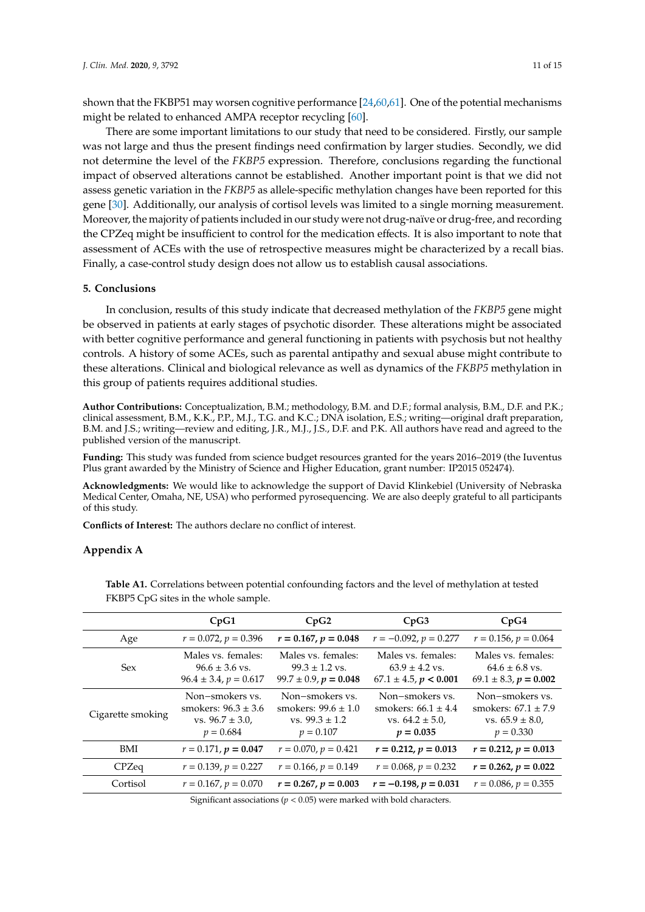shown that the FKBP51 may worsen cognitive performance [\[24,](#page-12-5)[60,](#page-14-2)[61\]](#page-14-3). One of the potential mechanisms might be related to enhanced AMPA receptor recycling [\[60\]](#page-14-2).

There are some important limitations to our study that need to be considered. Firstly, our sample was not large and thus the present findings need confirmation by larger studies. Secondly, we did not determine the level of the *FKBP5* expression. Therefore, conclusions regarding the functional impact of observed alterations cannot be established. Another important point is that we did not assess genetic variation in the *FKBP5* as allele-specific methylation changes have been reported for this gene [\[30\]](#page-12-11). Additionally, our analysis of cortisol levels was limited to a single morning measurement. Moreover, the majority of patients included in our study were not drug-naïve or drug-free, and recording the CPZeq might be insufficient to control for the medication effects. It is also important to note that assessment of ACEs with the use of retrospective measures might be characterized by a recall bias. Finally, a case-control study design does not allow us to establish causal associations.

#### **5. Conclusions**

In conclusion, results of this study indicate that decreased methylation of the *FKBP5* gene might be observed in patients at early stages of psychotic disorder. These alterations might be associated with better cognitive performance and general functioning in patients with psychosis but not healthy controls. A history of some ACEs, such as parental antipathy and sexual abuse might contribute to these alterations. Clinical and biological relevance as well as dynamics of the *FKBP5* methylation in this group of patients requires additional studies.

**Author Contributions:** Conceptualization, B.M.; methodology, B.M. and D.F.; formal analysis, B.M., D.F. and P.K.; clinical assessment, B.M., K.K., P.P., M.J., T.G. and K.C.; DNA isolation, E.S.; writing—original draft preparation, B.M. and J.S.; writing—review and editing, J.R., M.J., J.S., D.F. and P.K. All authors have read and agreed to the published version of the manuscript.

**Funding:** This study was funded from science budget resources granted for the years 2016–2019 (the Iuventus Plus grant awarded by the Ministry of Science and Higher Education, grant number: IP2015 052474).

**Acknowledgments:** We would like to acknowledge the support of David Klinkebiel (University of Nebraska Medical Center, Omaha, NE, USA) who performed pyrosequencing. We are also deeply grateful to all participants of this study.

**Conflicts of Interest:** The authors declare no conflict of interest.

## **Appendix A**

|                   | CpG1                                                                              | CpG2                                                                            | CpG3                                                                              | CpG4                                                                              |
|-------------------|-----------------------------------------------------------------------------------|---------------------------------------------------------------------------------|-----------------------------------------------------------------------------------|-----------------------------------------------------------------------------------|
| Age               | $r = 0.072$ , $p = 0.396$                                                         | $r = 0.167, p = 0.048$                                                          | $r = -0.092$ , $p = 0.277$                                                        | $r = 0.156$ , $p = 0.064$                                                         |
| <b>Sex</b>        | Males vs. females:<br>$96.6 \pm 3.6$ vs.<br>$96.4 \pm 3.4, p = 0.617$             | Males vs. females:<br>$99.3 \pm 1.2$ vs.<br>$99.7 \pm 0.9$ , $p = 0.048$        | Males vs. females:<br>$63.9 \pm 4.2$ vs.<br>$67.1 \pm 4.5$ , $p < 0.001$          | Males vs. females:<br>$64.6 \pm 6.8$ vs.<br>$69.1 \pm 8.3$ , $p = 0.002$          |
| Cigarette smoking | Non-smokers vs.<br>smokers: $96.3 \pm 3.6$<br>vs. $96.7 \pm 3.0$ ,<br>$p = 0.684$ | Non-smokers vs.<br>smokers: $99.6 \pm 1.0$<br>vs. $99.3 \pm 1.2$<br>$p = 0.107$ | Non-smokers vs.<br>smokers: $66.1 \pm 4.4$<br>vs. $64.2 \pm 5.0$ ,<br>$p = 0.035$ | Non-smokers vs.<br>smokers: $67.1 \pm 7.9$<br>vs. $65.9 \pm 8.0$ ,<br>$p = 0.330$ |
| <b>BMI</b>        | $r = 0.171, p = 0.047$                                                            | $r = 0.070, p = 0.421$                                                          | $r = 0.212$ , $p = 0.013$                                                         | $r = 0.212$ , $p = 0.013$                                                         |
| CPZeq             | $r = 0.139, p = 0.227$                                                            | $r = 0.166$ , $p = 0.149$                                                       | $r = 0.068$ , $p = 0.232$                                                         | $r = 0.262, p = 0.022$                                                            |
| Cortisol          | $r = 0.167, p = 0.070$                                                            | $r = 0.267, p = 0.003$                                                          | $r = -0.198$ , $p = 0.031$                                                        | $r = 0.086$ , $p = 0.355$                                                         |

<span id="page-10-0"></span>**Table A1.** Correlations between potential confounding factors and the level of methylation at tested FKBP5 CpG sites in the whole sample.

Significant associations ( $p < 0.05$ ) were marked with bold characters.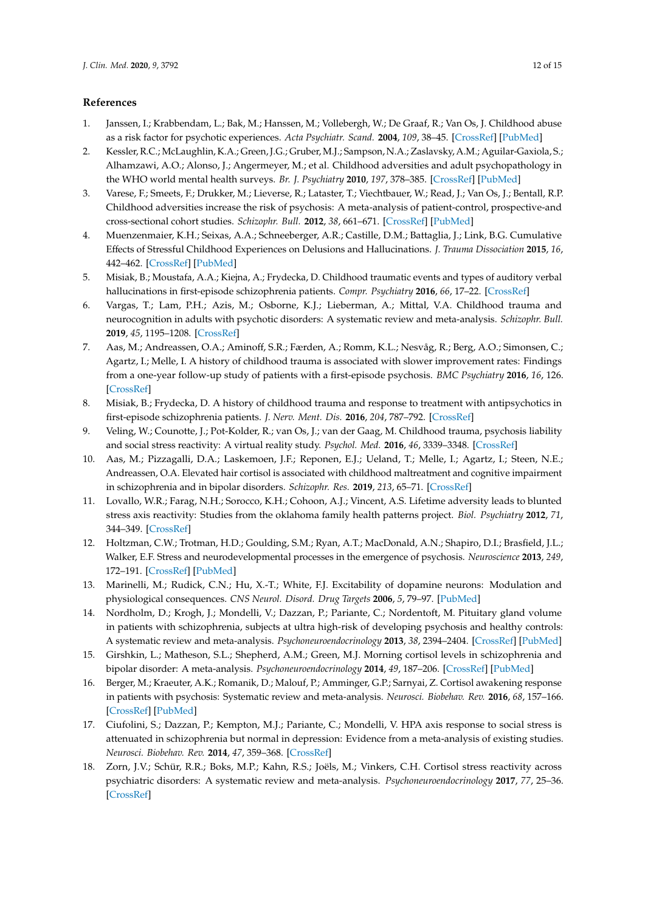## **References**

- <span id="page-11-0"></span>1. Janssen, I.; Krabbendam, L.; Bak, M.; Hanssen, M.; Vollebergh, W.; De Graaf, R.; Van Os, J. Childhood abuse as a risk factor for psychotic experiences. *Acta Psychiatr. Scand.* **2004**, *109*, 38–45. [\[CrossRef\]](http://dx.doi.org/10.1046/j.0001-690X.2003.00217.x) [\[PubMed\]](http://www.ncbi.nlm.nih.gov/pubmed/14674957)
- 2. Kessler, R.C.; McLaughlin, K.A.; Green, J.G.; Gruber, M.J.; Sampson, N.A.; Zaslavsky, A.M.; Aguilar-Gaxiola, S.; Alhamzawi, A.O.; Alonso, J.; Angermeyer, M.; et al. Childhood adversities and adult psychopathology in the WHO world mental health surveys. *Br. J. Psychiatry* **2010**, *197*, 378–385. [\[CrossRef\]](http://dx.doi.org/10.1192/bjp.bp.110.080499) [\[PubMed\]](http://www.ncbi.nlm.nih.gov/pubmed/21037215)
- <span id="page-11-1"></span>3. Varese, F.; Smeets, F.; Drukker, M.; Lieverse, R.; Lataster, T.; Viechtbauer, W.; Read, J.; Van Os, J.; Bentall, R.P. Childhood adversities increase the risk of psychosis: A meta-analysis of patient-control, prospective-and cross-sectional cohort studies. *Schizophr. Bull.* **2012**, *38*, 661–671. [\[CrossRef\]](http://dx.doi.org/10.1093/schbul/sbs050) [\[PubMed\]](http://www.ncbi.nlm.nih.gov/pubmed/22461484)
- <span id="page-11-2"></span>4. Muenzenmaier, K.H.; Seixas, A.A.; Schneeberger, A.R.; Castille, D.M.; Battaglia, J.; Link, B.G. Cumulative Effects of Stressful Childhood Experiences on Delusions and Hallucinations. *J. Trauma Dissociation* **2015**, *16*, 442–462. [\[CrossRef\]](http://dx.doi.org/10.1080/15299732.2015.1018475) [\[PubMed\]](http://www.ncbi.nlm.nih.gov/pubmed/25895104)
- <span id="page-11-3"></span>5. Misiak, B.; Moustafa, A.A.; Kiejna, A.; Frydecka, D. Childhood traumatic events and types of auditory verbal hallucinations in first-episode schizophrenia patients. *Compr. Psychiatry* **2016**, *66*, 17–22. [\[CrossRef\]](http://dx.doi.org/10.1016/j.comppsych.2015.12.003)
- <span id="page-11-4"></span>6. Vargas, T.; Lam, P.H.; Azis, M.; Osborne, K.J.; Lieberman, A.; Mittal, V.A. Childhood trauma and neurocognition in adults with psychotic disorders: A systematic review and meta-analysis. *Schizophr. Bull.* **2019**, *45*, 1195–1208. [\[CrossRef\]](http://dx.doi.org/10.1093/schbul/sby150)
- <span id="page-11-5"></span>7. Aas, M.; Andreassen, O.A.; Aminoff, S.R.; Færden, A.; Romm, K.L.; Nesvåg, R.; Berg, A.O.; Simonsen, C.; Agartz, I.; Melle, I. A history of childhood trauma is associated with slower improvement rates: Findings from a one-year follow-up study of patients with a first-episode psychosis. *BMC Psychiatry* **2016**, *16*, 126. [\[CrossRef\]](http://dx.doi.org/10.1186/s12888-016-0827-4)
- <span id="page-11-6"></span>8. Misiak, B.; Frydecka, D. A history of childhood trauma and response to treatment with antipsychotics in first-episode schizophrenia patients. *J. Nerv. Ment. Dis.* **2016**, *204*, 787–792. [\[CrossRef\]](http://dx.doi.org/10.1097/NMD.0000000000000567)
- <span id="page-11-7"></span>9. Veling, W.; Counotte, J.; Pot-Kolder, R.; van Os, J.; van der Gaag, M. Childhood trauma, psychosis liability and social stress reactivity: A virtual reality study. *Psychol. Med.* **2016**, *46*, 3339–3348. [\[CrossRef\]](http://dx.doi.org/10.1017/S0033291716002208)
- <span id="page-11-8"></span>10. Aas, M.; Pizzagalli, D.A.; Laskemoen, J.F.; Reponen, E.J.; Ueland, T.; Melle, I.; Agartz, I.; Steen, N.E.; Andreassen, O.A. Elevated hair cortisol is associated with childhood maltreatment and cognitive impairment in schizophrenia and in bipolar disorders. *Schizophr. Res.* **2019**, *213*, 65–71. [\[CrossRef\]](http://dx.doi.org/10.1016/j.schres.2019.01.011)
- <span id="page-11-9"></span>11. Lovallo, W.R.; Farag, N.H.; Sorocco, K.H.; Cohoon, A.J.; Vincent, A.S. Lifetime adversity leads to blunted stress axis reactivity: Studies from the oklahoma family health patterns project. *Biol. Psychiatry* **2012**, *71*, 344–349. [\[CrossRef\]](http://dx.doi.org/10.1016/j.biopsych.2011.10.018)
- <span id="page-11-10"></span>12. Holtzman, C.W.; Trotman, H.D.; Goulding, S.M.; Ryan, A.T.; MacDonald, A.N.; Shapiro, D.I.; Brasfield, J.L.; Walker, E.F. Stress and neurodevelopmental processes in the emergence of psychosis. *Neuroscience* **2013**, *249*, 172–191. [\[CrossRef\]](http://dx.doi.org/10.1016/j.neuroscience.2012.12.017) [\[PubMed\]](http://www.ncbi.nlm.nih.gov/pubmed/23298853)
- <span id="page-11-11"></span>13. Marinelli, M.; Rudick, C.N.; Hu, X.-T.; White, F.J. Excitability of dopamine neurons: Modulation and physiological consequences. *CNS Neurol. Disord. Drug Targets* **2006**, *5*, 79–97. [\[PubMed\]](http://www.ncbi.nlm.nih.gov/pubmed/16613555)
- <span id="page-11-12"></span>14. Nordholm, D.; Krogh, J.; Mondelli, V.; Dazzan, P.; Pariante, C.; Nordentoft, M. Pituitary gland volume in patients with schizophrenia, subjects at ultra high-risk of developing psychosis and healthy controls: A systematic review and meta-analysis. *Psychoneuroendocrinology* **2013**, *38*, 2394–2404. [\[CrossRef\]](http://dx.doi.org/10.1016/j.psyneuen.2013.06.030) [\[PubMed\]](http://www.ncbi.nlm.nih.gov/pubmed/23890984)
- <span id="page-11-13"></span>15. Girshkin, L.; Matheson, S.L.; Shepherd, A.M.; Green, M.J. Morning cortisol levels in schizophrenia and bipolar disorder: A meta-analysis. *Psychoneuroendocrinology* **2014**, *49*, 187–206. [\[CrossRef\]](http://dx.doi.org/10.1016/j.psyneuen.2014.07.013) [\[PubMed\]](http://www.ncbi.nlm.nih.gov/pubmed/25108162)
- <span id="page-11-14"></span>16. Berger, M.; Kraeuter, A.K.; Romanik, D.; Malouf, P.; Amminger, G.P.; Sarnyai, Z. Cortisol awakening response in patients with psychosis: Systematic review and meta-analysis. *Neurosci. Biobehav. Rev.* **2016**, *68*, 157–166. [\[CrossRef\]](http://dx.doi.org/10.1016/j.neubiorev.2016.05.027) [\[PubMed\]](http://www.ncbi.nlm.nih.gov/pubmed/27229759)
- 17. Ciufolini, S.; Dazzan, P.; Kempton, M.J.; Pariante, C.; Mondelli, V. HPA axis response to social stress is attenuated in schizophrenia but normal in depression: Evidence from a meta-analysis of existing studies. *Neurosci. Biobehav. Rev.* **2014**, *47*, 359–368. [\[CrossRef\]](http://dx.doi.org/10.1016/j.neubiorev.2014.09.004)
- <span id="page-11-15"></span>18. Zorn, J.V.; Schür, R.R.; Boks, M.P.; Kahn, R.S.; Joëls, M.; Vinkers, C.H. Cortisol stress reactivity across psychiatric disorders: A systematic review and meta-analysis. *Psychoneuroendocrinology* **2017**, *77*, 25–36. [\[CrossRef\]](http://dx.doi.org/10.1016/j.psyneuen.2016.11.036)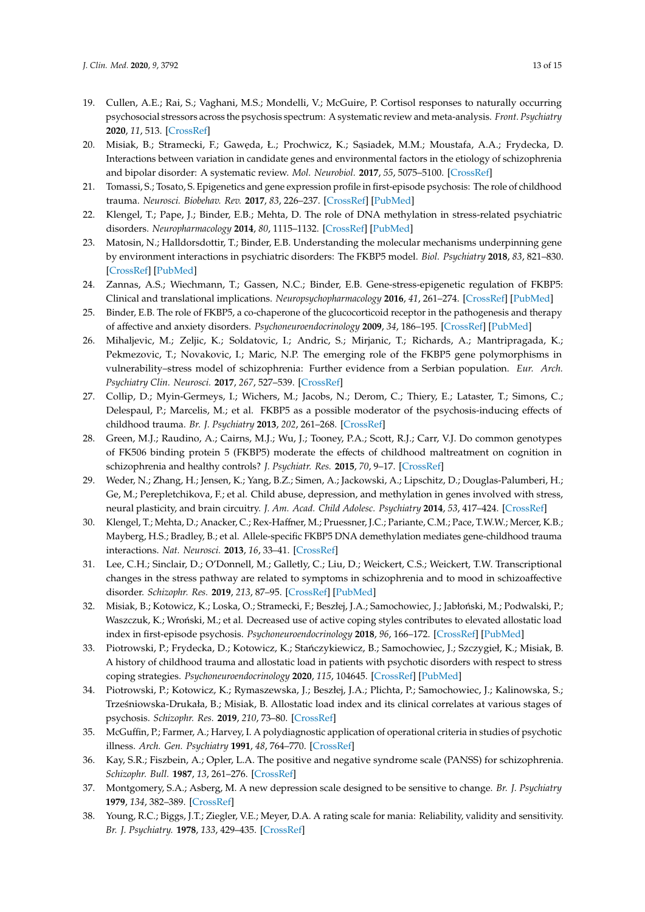- <span id="page-12-0"></span>19. Cullen, A.E.; Rai, S.; Vaghani, M.S.; Mondelli, V.; McGuire, P. Cortisol responses to naturally occurring psychosocial stressors across the psychosis spectrum: A systematic review and meta-analysis. *Front. Psychiatry* **2020**, *11*, 513. [\[CrossRef\]](http://dx.doi.org/10.3389/fpsyt.2020.00513)
- <span id="page-12-1"></span>20. Misiak, B.; Stramecki, F.; Gaweda, Ł.; Prochwicz, K.; Sąsiadek, M.M.; Moustafa, A.A.; Frydecka, D. Interactions between variation in candidate genes and environmental factors in the etiology of schizophrenia and bipolar disorder: A systematic review. *Mol. Neurobiol.* **2017**, *55*, 5075–5100. [\[CrossRef\]](http://dx.doi.org/10.1007/s12035-017-0708-y)
- <span id="page-12-2"></span>21. Tomassi, S.; Tosato, S. Epigenetics and gene expression profile in first-episode psychosis: The role of childhood trauma. *Neurosci. Biobehav. Rev.* **2017**, *83*, 226–237. [\[CrossRef\]](http://dx.doi.org/10.1016/j.neubiorev.2017.10.018) [\[PubMed\]](http://www.ncbi.nlm.nih.gov/pubmed/29056292)
- <span id="page-12-3"></span>22. Klengel, T.; Pape, J.; Binder, E.B.; Mehta, D. The role of DNA methylation in stress-related psychiatric disorders. *Neuropharmacology* **2014**, *80*, 1115–1132. [\[CrossRef\]](http://dx.doi.org/10.1016/j.neuropharm.2014.01.013) [\[PubMed\]](http://www.ncbi.nlm.nih.gov/pubmed/24452011)
- <span id="page-12-4"></span>23. Matosin, N.; Halldorsdottir, T.; Binder, E.B. Understanding the molecular mechanisms underpinning gene by environment interactions in psychiatric disorders: The FKBP5 model. *Biol. Psychiatry* **2018**, *83*, 821–830. [\[CrossRef\]](http://dx.doi.org/10.1016/j.biopsych.2018.01.021) [\[PubMed\]](http://www.ncbi.nlm.nih.gov/pubmed/29573791)
- <span id="page-12-5"></span>24. Zannas, A.S.; Wiechmann, T.; Gassen, N.C.; Binder, E.B. Gene-stress-epigenetic regulation of FKBP5: Clinical and translational implications. *Neuropsychopharmacology* **2016**, *41*, 261–274. [\[CrossRef\]](http://dx.doi.org/10.1038/npp.2015.235) [\[PubMed\]](http://www.ncbi.nlm.nih.gov/pubmed/26250598)
- <span id="page-12-6"></span>25. Binder, E.B. The role of FKBP5, a co-chaperone of the glucocorticoid receptor in the pathogenesis and therapy of affective and anxiety disorders. *Psychoneuroendocrinology* **2009**, *34*, 186–195. [\[CrossRef\]](http://dx.doi.org/10.1016/j.psyneuen.2009.05.021) [\[PubMed\]](http://www.ncbi.nlm.nih.gov/pubmed/19560279)
- <span id="page-12-7"></span>26. Mihaljevic, M.; Zeljic, K.; Soldatovic, I.; Andric, S.; Mirjanic, T.; Richards, A.; Mantripragada, K.; Pekmezovic, T.; Novakovic, I.; Maric, N.P. The emerging role of the FKBP5 gene polymorphisms in vulnerability–stress model of schizophrenia: Further evidence from a Serbian population. *Eur. Arch. Psychiatry Clin. Neurosci.* **2017**, *267*, 527–539. [\[CrossRef\]](http://dx.doi.org/10.1007/s00406-016-0720-7)
- <span id="page-12-8"></span>27. Collip, D.; Myin-Germeys, I.; Wichers, M.; Jacobs, N.; Derom, C.; Thiery, E.; Lataster, T.; Simons, C.; Delespaul, P.; Marcelis, M.; et al. FKBP5 as a possible moderator of the psychosis-inducing effects of childhood trauma. *Br. J. Psychiatry* **2013**, *202*, 261–268. [\[CrossRef\]](http://dx.doi.org/10.1192/bjp.bp.112.115972)
- <span id="page-12-9"></span>28. Green, M.J.; Raudino, A.; Cairns, M.J.; Wu, J.; Tooney, P.A.; Scott, R.J.; Carr, V.J. Do common genotypes of FK506 binding protein 5 (FKBP5) moderate the effects of childhood maltreatment on cognition in schizophrenia and healthy controls? *J. Psychiatr. Res.* **2015**, *70*, 9–17. [\[CrossRef\]](http://dx.doi.org/10.1016/j.jpsychires.2015.07.019)
- <span id="page-12-10"></span>29. Weder, N.; Zhang, H.; Jensen, K.; Yang, B.Z.; Simen, A.; Jackowski, A.; Lipschitz, D.; Douglas-Palumberi, H.; Ge, M.; Perepletchikova, F.; et al. Child abuse, depression, and methylation in genes involved with stress, neural plasticity, and brain circuitry. *J. Am. Acad. Child Adolesc. Psychiatry* **2014**, *53*, 417–424. [\[CrossRef\]](http://dx.doi.org/10.1016/j.jaac.2013.12.025)
- <span id="page-12-11"></span>30. Klengel, T.; Mehta, D.; Anacker, C.; Rex-Haffner, M.; Pruessner, J.C.; Pariante, C.M.; Pace, T.W.W.; Mercer, K.B.; Mayberg, H.S.; Bradley, B.; et al. Allele-specific FKBP5 DNA demethylation mediates gene-childhood trauma interactions. *Nat. Neurosci.* **2013**, *16*, 33–41. [\[CrossRef\]](http://dx.doi.org/10.1038/nn.3275)
- <span id="page-12-12"></span>31. Lee, C.H.; Sinclair, D.; O'Donnell, M.; Galletly, C.; Liu, D.; Weickert, C.S.; Weickert, T.W. Transcriptional changes in the stress pathway are related to symptoms in schizophrenia and to mood in schizoaffective disorder. *Schizophr. Res.* **2019**, *213*, 87–95. [\[CrossRef\]](http://dx.doi.org/10.1016/j.schres.2019.06.026) [\[PubMed\]](http://www.ncbi.nlm.nih.gov/pubmed/31296417)
- <span id="page-12-13"></span>32. Misiak, B.; Kotowicz, K.; Loska, O.; Stramecki, F.; Beszłej, J.A.; Samochowiec, J.; Jabłoński, M.; Podwalski, P.; Waszczuk, K.; Wroński, M.; et al. Decreased use of active coping styles contributes to elevated allostatic load index in first-episode psychosis. *Psychoneuroendocrinology* **2018**, *96*, 166–172. [\[CrossRef\]](http://dx.doi.org/10.1016/j.psyneuen.2018.06.021) [\[PubMed\]](http://www.ncbi.nlm.nih.gov/pubmed/29980008)
- 33. Piotrowski, P.; Frydecka, D.; Kotowicz, K.; Stańczykiewicz, B.; Samochowiec, J.; Szczygieł, K.; Misiak, B. A history of childhood trauma and allostatic load in patients with psychotic disorders with respect to stress coping strategies. *Psychoneuroendocrinology* **2020**, *115*, 104645. [\[CrossRef\]](http://dx.doi.org/10.1016/j.psyneuen.2020.104645) [\[PubMed\]](http://www.ncbi.nlm.nih.gov/pubmed/32171901)
- <span id="page-12-14"></span>34. Piotrowski, P.; Kotowicz, K.; Rymaszewska, J.; Beszłej, J.A.; Plichta, P.; Samochowiec, J.; Kalinowska, S.; Trześniowska-Drukała, B.; Misiak, B. Allostatic load index and its clinical correlates at various stages of psychosis. *Schizophr. Res.* **2019**, *210*, 73–80. [\[CrossRef\]](http://dx.doi.org/10.1016/j.schres.2019.06.009)
- <span id="page-12-15"></span>35. McGuffin, P.; Farmer, A.; Harvey, I. A polydiagnostic application of operational criteria in studies of psychotic illness. *Arch. Gen. Psychiatry* **1991**, *48*, 764–770. [\[CrossRef\]](http://dx.doi.org/10.1001/archpsyc.1991.01810320088015)
- <span id="page-12-16"></span>36. Kay, S.R.; Fiszbein, A.; Opler, L.A. The positive and negative syndrome scale (PANSS) for schizophrenia. *Schizophr. Bull.* **1987**, *13*, 261–276. [\[CrossRef\]](http://dx.doi.org/10.1093/schbul/13.2.261)
- <span id="page-12-17"></span>37. Montgomery, S.A.; Asberg, M. A new depression scale designed to be sensitive to change. *Br. J. Psychiatry* **1979**, *134*, 382–389. [\[CrossRef\]](http://dx.doi.org/10.1192/bjp.134.4.382)
- <span id="page-12-18"></span>38. Young, R.C.; Biggs, J.T.; Ziegler, V.E.; Meyer, D.A. A rating scale for mania: Reliability, validity and sensitivity. *Br. J. Psychiatry.* **1978**, *133*, 429–435. [\[CrossRef\]](http://dx.doi.org/10.1192/bjp.133.5.429)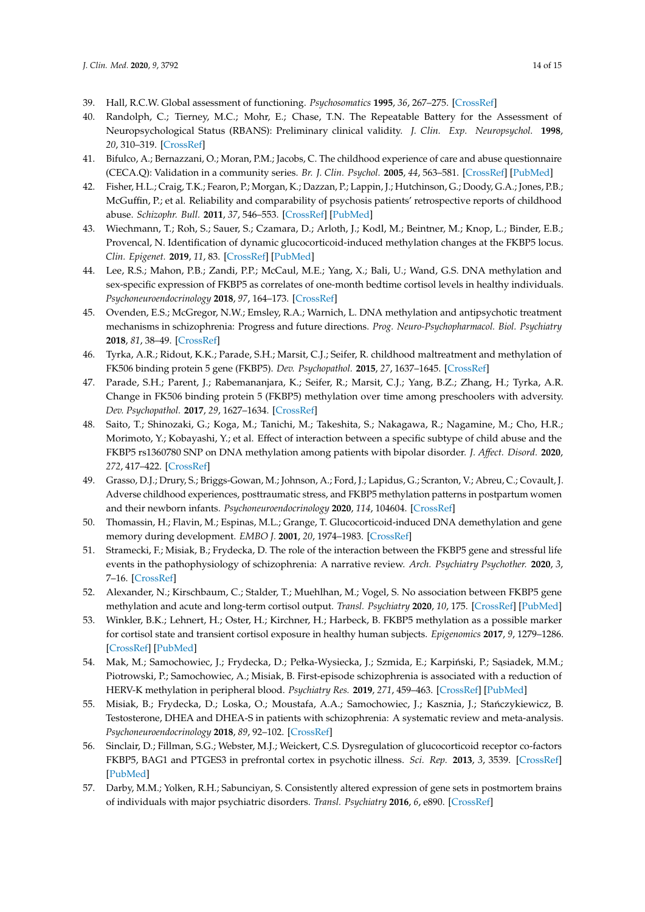- <span id="page-13-0"></span>39. Hall, R.C.W. Global assessment of functioning. *Psychosomatics* **1995**, *36*, 267–275. [\[CrossRef\]](http://dx.doi.org/10.1016/S0033-3182(95)71666-8)
- <span id="page-13-1"></span>40. Randolph, C.; Tierney, M.C.; Mohr, E.; Chase, T.N. The Repeatable Battery for the Assessment of Neuropsychological Status (RBANS): Preliminary clinical validity. *J. Clin. Exp. Neuropsychol.* **1998**, *20*, 310–319. [\[CrossRef\]](http://dx.doi.org/10.1076/jcen.20.3.310.823)
- <span id="page-13-2"></span>41. Bifulco, A.; Bernazzani, O.; Moran, P.M.; Jacobs, C. The childhood experience of care and abuse questionnaire (CECA.Q): Validation in a community series. *Br. J. Clin. Psychol.* **2005**, *44*, 563–581. [\[CrossRef\]](http://dx.doi.org/10.1348/014466505X35344) [\[PubMed\]](http://www.ncbi.nlm.nih.gov/pubmed/16368034)
- <span id="page-13-3"></span>42. Fisher, H.L.; Craig, T.K.; Fearon, P.; Morgan, K.; Dazzan, P.; Lappin, J.; Hutchinson, G.; Doody, G.A.; Jones, P.B.; McGuffin, P.; et al. Reliability and comparability of psychosis patients' retrospective reports of childhood abuse. *Schizophr. Bull.* **2011**, *37*, 546–553. [\[CrossRef\]](http://dx.doi.org/10.1093/schbul/sbp103) [\[PubMed\]](http://www.ncbi.nlm.nih.gov/pubmed/19776204)
- <span id="page-13-4"></span>43. Wiechmann, T.; Roh, S.; Sauer, S.; Czamara, D.; Arloth, J.; Kodl, M.; Beintner, M.; Knop, L.; Binder, E.B.; Provencal, N. Identification of dynamic glucocorticoid-induced methylation changes at the FKBP5 locus. *Clin. Epigenet.* **2019**, *11*, 83. [\[CrossRef\]](http://dx.doi.org/10.1186/s13148-019-0682-5) [\[PubMed\]](http://www.ncbi.nlm.nih.gov/pubmed/31122292)
- <span id="page-13-5"></span>44. Lee, R.S.; Mahon, P.B.; Zandi, P.P.; McCaul, M.E.; Yang, X.; Bali, U.; Wand, G.S. DNA methylation and sex-specific expression of FKBP5 as correlates of one-month bedtime cortisol levels in healthy individuals. *Psychoneuroendocrinology* **2018**, *97*, 164–173. [\[CrossRef\]](http://dx.doi.org/10.1016/j.psyneuen.2018.07.003)
- <span id="page-13-6"></span>45. Ovenden, E.S.; McGregor, N.W.; Emsley, R.A.; Warnich, L. DNA methylation and antipsychotic treatment mechanisms in schizophrenia: Progress and future directions. *Prog. Neuro-Psychopharmacol. Biol. Psychiatry* **2018**, *81*, 38–49. [\[CrossRef\]](http://dx.doi.org/10.1016/j.pnpbp.2017.10.004)
- <span id="page-13-7"></span>46. Tyrka, A.R.; Ridout, K.K.; Parade, S.H.; Marsit, C.J.; Seifer, R. childhood maltreatment and methylation of FK506 binding protein 5 gene (FKBP5). *Dev. Psychopathol.* **2015**, *27*, 1637–1645. [\[CrossRef\]](http://dx.doi.org/10.1017/S0954579415000991)
- 47. Parade, S.H.; Parent, J.; Rabemananjara, K.; Seifer, R.; Marsit, C.J.; Yang, B.Z.; Zhang, H.; Tyrka, A.R. Change in FK506 binding protein 5 (FKBP5) methylation over time among preschoolers with adversity. *Dev. Psychopathol.* **2017**, *29*, 1627–1634. [\[CrossRef\]](http://dx.doi.org/10.1017/S0954579417001286)
- 48. Saito, T.; Shinozaki, G.; Koga, M.; Tanichi, M.; Takeshita, S.; Nakagawa, R.; Nagamine, M.; Cho, H.R.; Morimoto, Y.; Kobayashi, Y.; et al. Effect of interaction between a specific subtype of child abuse and the FKBP5 rs1360780 SNP on DNA methylation among patients with bipolar disorder. *J. A*ff*ect. Disord.* **2020**, *272*, 417–422. [\[CrossRef\]](http://dx.doi.org/10.1016/j.jad.2020.03.120)
- <span id="page-13-8"></span>49. Grasso, D.J.; Drury, S.; Briggs-Gowan, M.; Johnson, A.; Ford, J.; Lapidus, G.; Scranton, V.; Abreu, C.; Covault, J. Adverse childhood experiences, posttraumatic stress, and FKBP5 methylation patterns in postpartum women and their newborn infants. *Psychoneuroendocrinology* **2020**, *114*, 104604. [\[CrossRef\]](http://dx.doi.org/10.1016/j.psyneuen.2020.104604)
- <span id="page-13-9"></span>50. Thomassin, H.; Flavin, M.; Espinas, M.L.; Grange, T. Glucocorticoid-induced DNA demethylation and gene memory during development. *EMBO J.* **2001**, *20*, 1974–1983. [\[CrossRef\]](http://dx.doi.org/10.1093/emboj/20.8.1974)
- <span id="page-13-10"></span>51. Stramecki, F.; Misiak, B.; Frydecka, D. The role of the interaction between the FKBP5 gene and stressful life events in the pathophysiology of schizophrenia: A narrative review. *Arch. Psychiatry Psychother.* **2020**, *3*, 7–16. [\[CrossRef\]](http://dx.doi.org/10.12740/APP/124985)
- <span id="page-13-11"></span>52. Alexander, N.; Kirschbaum, C.; Stalder, T.; Muehlhan, M.; Vogel, S. No association between FKBP5 gene methylation and acute and long-term cortisol output. *Transl. Psychiatry* **2020**, *10*, 175. [\[CrossRef\]](http://dx.doi.org/10.1038/s41398-020-0846-2) [\[PubMed\]](http://www.ncbi.nlm.nih.gov/pubmed/32488091)
- <span id="page-13-12"></span>53. Winkler, B.K.; Lehnert, H.; Oster, H.; Kirchner, H.; Harbeck, B. FKBP5 methylation as a possible marker for cortisol state and transient cortisol exposure in healthy human subjects. *Epigenomics* **2017**, *9*, 1279–1286. [\[CrossRef\]](http://dx.doi.org/10.2217/epi-2017-0057) [\[PubMed\]](http://www.ncbi.nlm.nih.gov/pubmed/28875708)
- <span id="page-13-13"></span>54. Mak, M.; Samochowiec, J.; Frydecka, D.; Pełka-Wysiecka, J.; Szmida, E.; Karpiński, P.; Sasiadek, M.M.; Piotrowski, P.; Samochowiec, A.; Misiak, B. First-episode schizophrenia is associated with a reduction of HERV-K methylation in peripheral blood. *Psychiatry Res.* **2019**, *271*, 459–463. [\[CrossRef\]](http://dx.doi.org/10.1016/j.psychres.2018.12.012) [\[PubMed\]](http://www.ncbi.nlm.nih.gov/pubmed/30537669)
- <span id="page-13-14"></span>55. Misiak, B.; Frydecka, D.; Loska, O.; Moustafa, A.A.; Samochowiec, J.; Kasznia, J.; Stańczykiewicz, B. Testosterone, DHEA and DHEA-S in patients with schizophrenia: A systematic review and meta-analysis. *Psychoneuroendocrinology* **2018**, *89*, 92–102. [\[CrossRef\]](http://dx.doi.org/10.1016/j.psyneuen.2018.01.007)
- <span id="page-13-15"></span>56. Sinclair, D.; Fillman, S.G.; Webster, M.J.; Weickert, C.S. Dysregulation of glucocorticoid receptor co-factors FKBP5, BAG1 and PTGES3 in prefrontal cortex in psychotic illness. *Sci. Rep.* **2013**, *3*, 3539. [\[CrossRef\]](http://dx.doi.org/10.1038/srep03539) [\[PubMed\]](http://www.ncbi.nlm.nih.gov/pubmed/24345775)
- <span id="page-13-16"></span>57. Darby, M.M.; Yolken, R.H.; Sabunciyan, S. Consistently altered expression of gene sets in postmortem brains of individuals with major psychiatric disorders. *Transl. Psychiatry* **2016**, *6*, e890. [\[CrossRef\]](http://dx.doi.org/10.1038/tp.2016.173)